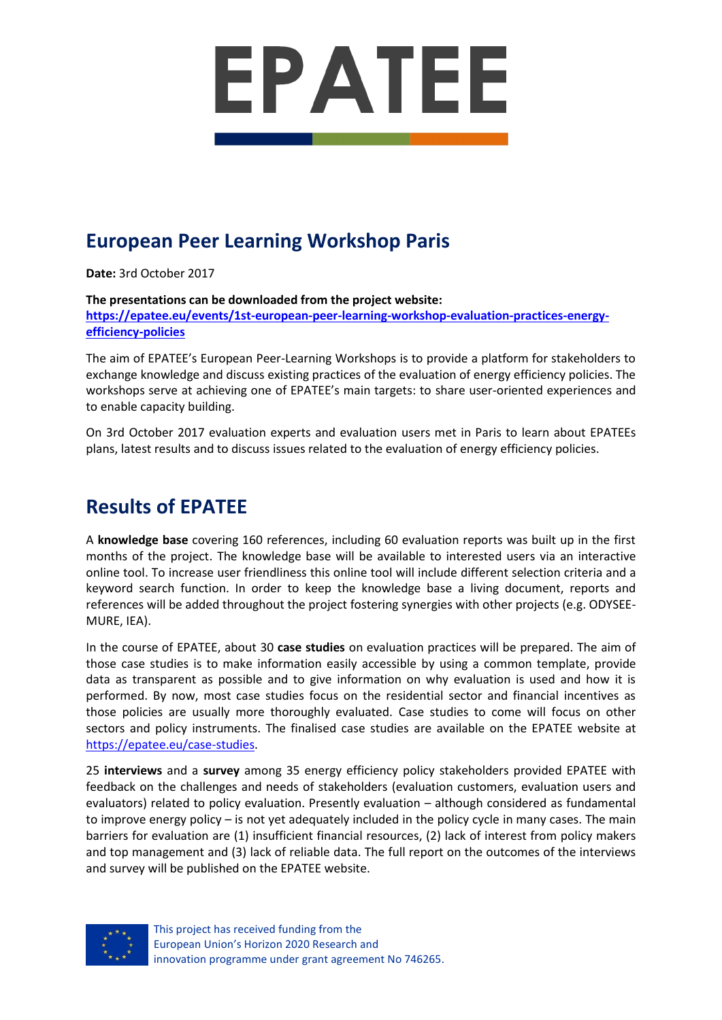

# **European Peer Learning Workshop Paris**

**Date:** 3rd October 2017

**The presentations can be downloaded from the project website:**

**[https://epatee.eu/events/1st-european-peer-learning-workshop-evaluation-practices-energy](https://epatee.eu/events/1st-european-peer-learning-workshop-evaluation-practices-energy-efficiency-policies)[efficiency-policies](https://epatee.eu/events/1st-european-peer-learning-workshop-evaluation-practices-energy-efficiency-policies)**

The aim of EPATEE's European Peer-Learning Workshops is to provide a platform for stakeholders to exchange knowledge and discuss existing practices of the evaluation of energy efficiency policies. The workshops serve at achieving one of EPATEE's main targets: to share user-oriented experiences and to enable capacity building.

On 3rd October 2017 evaluation experts and evaluation users met in Paris to learn about EPATEEs plans, latest results and to discuss issues related to the evaluation of energy efficiency policies.

## **Results of EPATEE**

A **knowledge base** covering 160 references, including 60 evaluation reports was built up in the first months of the project. The knowledge base will be available to interested users via an interactive online tool. To increase user friendliness this online tool will include different selection criteria and a keyword search function. In order to keep the knowledge base a living document, reports and references will be added throughout the project fostering synergies with other projects (e.g. ODYSEE-MURE, IEA).

In the course of EPATEE, about 30 **case studies** on evaluation practices will be prepared. The aim of those case studies is to make information easily accessible by using a common template, provide data as transparent as possible and to give information on why evaluation is used and how it is performed. By now, most case studies focus on the residential sector and financial incentives as those policies are usually more thoroughly evaluated. Case studies to come will focus on other sectors and policy instruments. The finalised case studies are available on the EPATEE website at [https://epatee.eu/case-studies.](https://epatee.eu/case-studies)

25 **interviews** and a **survey** among 35 energy efficiency policy stakeholders provided EPATEE with feedback on the challenges and needs of stakeholders (evaluation customers, evaluation users and evaluators) related to policy evaluation. Presently evaluation – although considered as fundamental to improve energy policy – is not yet adequately included in the policy cycle in many cases. The main barriers for evaluation are (1) insufficient financial resources, (2) lack of interest from policy makers and top management and (3) lack of reliable data. The full report on the outcomes of the interviews and survey will be published on the EPATEE website.



This project has received funding from the European Union's Horizon 2020 Research and innovation programme under grant agreement No 746265.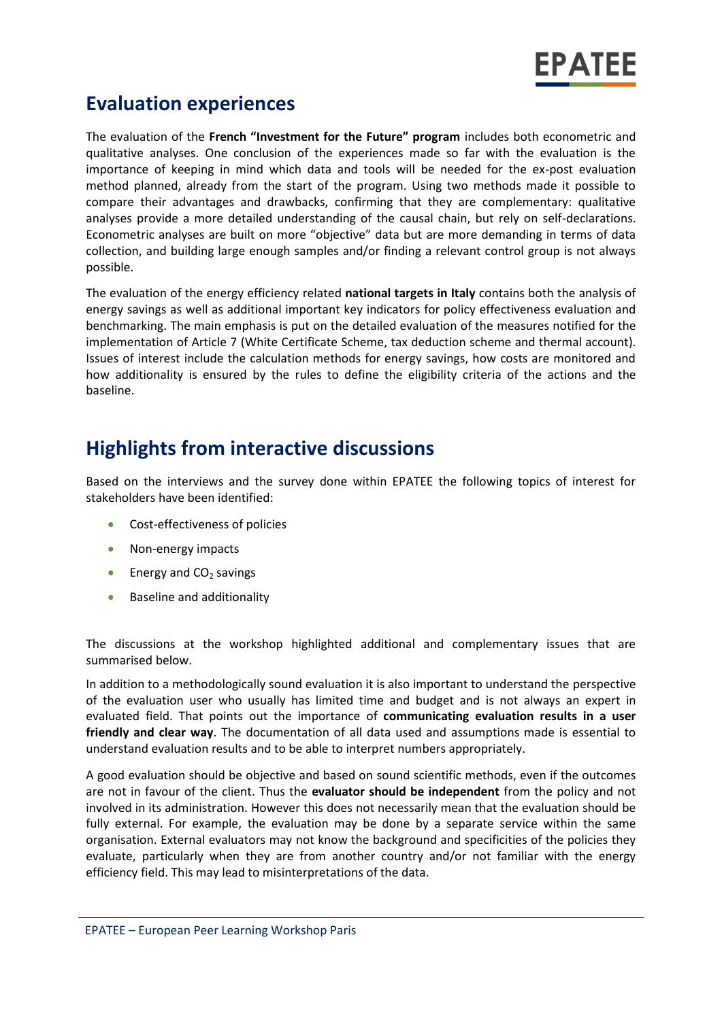

### **Evaluation experiences**

The evaluation of the **French "Investment for the Future" program** includes both econometric and qualitative analyses. One conclusion of the experiences made so far with the evaluation is the importance of keeping in mind which data and tools will be needed for the ex-post evaluation method planned, already from the start of the program. Using two methods made it possible to compare their advantages and drawbacks, confirming that they are complementary: qualitative analyses provide a more detailed understanding of the causal chain, but rely on self-declarations. Econometric analyses are built on more "objective" data but are more demanding in terms of data collection, and building large enough samples and/or finding a relevant control group is not always possible.

The evaluation of the energy efficiency related **national targets in Italy** contains both the analysis of energy savings as well as additional important key indicators for policy effectiveness evaluation and benchmarking. The main emphasis is put on the detailed evaluation of the measures notified for the implementation of Article 7 (White Certificate Scheme, tax deduction scheme and thermal account). Issues of interest include the calculation methods for energy savings, how costs are monitored and how additionality is ensured by the rules to define the eligibility criteria of the actions and the baseline.

## **Highlights from interactive discussions**

Based on the interviews and the survey done within EPATEE the following topics of interest for stakeholders have been identified:

- Cost-effectiveness of policies
- Non-energy impacts
- **Energy and CO<sub>2</sub>** savings
- **Baseline and additionality**

The discussions at the workshop highlighted additional and complementary issues that are summarised below.

In addition to a methodologically sound evaluation it is also important to understand the perspective of the evaluation user who usually has limited time and budget and is not always an expert in evaluated field. That points out the importance of **communicating evaluation results in a user friendly and clear way**. The documentation of all data used and assumptions made is essential to understand evaluation results and to be able to interpret numbers appropriately.

A good evaluation should be objective and based on sound scientific methods, even if the outcomes are not in favour of the client. Thus the **evaluator should be independent** from the policy and not involved in its administration. However this does not necessarily mean that the evaluation should be fully external. For example, the evaluation may be done by a separate service within the same organisation. External evaluators may not know the background and specificities of the policies they evaluate, particularly when they are from another country and/or not familiar with the energy efficiency field. This may lead to misinterpretations of the data.